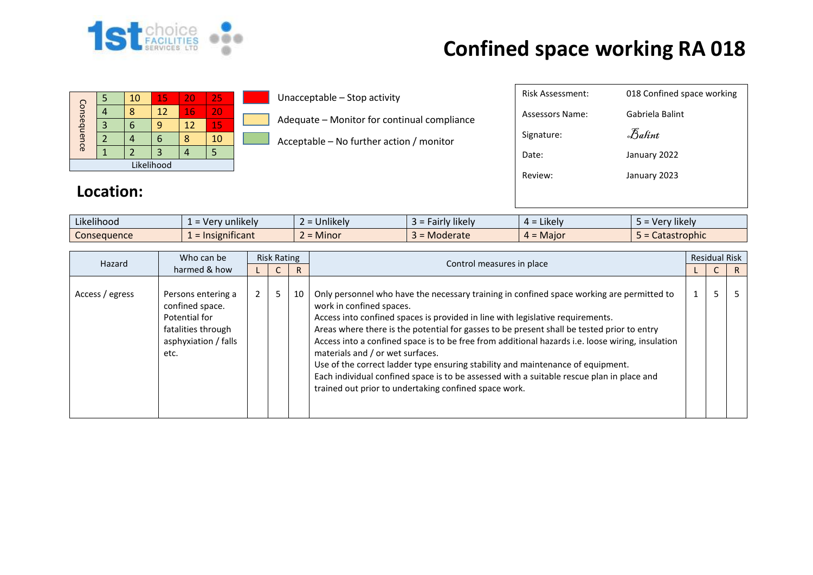

## **Confined space working RA 018**

| Consequence |  | 10 | 15 | 20 | 25  |  |  |  |
|-------------|--|----|----|----|-----|--|--|--|
|             |  |    | 12 | 16 | VI. |  |  |  |
|             |  |    |    | 12 | 15  |  |  |  |
|             |  |    |    |    | 10  |  |  |  |
|             |  |    |    |    |     |  |  |  |
| Likelihood  |  |    |    |    |     |  |  |  |

Unacceptable – Stop activity

Adequate – Monitor for continual compliance

Acceptable – No further action / monitor

| <b>Risk Assessment:</b> | 018 Confined space working |
|-------------------------|----------------------------|
| Assessors Name:         | Gabriela Balint            |
| Signature:              | Balint                     |
| Date:                   | January 2022               |
| Review:                 | January 2023               |
|                         |                            |

## **Location:**

| $\cdots$<br>$\cdots$<br>Likelihood | sunlikely and the set of the control of the control of the control of the control of the control of the control of the control of the control of the control of the control of the control of the control of the control of th<br>Ver | $\cdots$<br><b>Unlikely</b> | $\cdots$<br><b>Hikely</b><br>۱۳۱۱ ه.<br>Tall IV | $\cdot$ .<br>Likelv<br>$\Delta =$ | $\cdots$<br>Very likely |
|------------------------------------|---------------------------------------------------------------------------------------------------------------------------------------------------------------------------------------------------------------------------------------|-----------------------------|-------------------------------------------------|-----------------------------------|-------------------------|
| Consequence                        | .<br>$\mathcal{L}$ = Insignificant                                                                                                                                                                                                    | Minor<br>-                  | Moderate                                        | <b>Maior</b><br>$4 =$             | Catastrophic            |

| Who can be<br>Hazard | <b>Risk Rating</b>                                                                                           |  |    | Control measures in place | <b>Residual Risk</b>                                                                                                                                                                                                                                                                                                                                                                                                                                                                                                                                                                                                                                                                   |  |   |   |  |
|----------------------|--------------------------------------------------------------------------------------------------------------|--|----|---------------------------|----------------------------------------------------------------------------------------------------------------------------------------------------------------------------------------------------------------------------------------------------------------------------------------------------------------------------------------------------------------------------------------------------------------------------------------------------------------------------------------------------------------------------------------------------------------------------------------------------------------------------------------------------------------------------------------|--|---|---|--|
| harmed & how         |                                                                                                              |  |    | R.                        |                                                                                                                                                                                                                                                                                                                                                                                                                                                                                                                                                                                                                                                                                        |  |   | R |  |
| Access / egress      | Persons entering a<br>confined space.<br>Potential for<br>fatalities through<br>asphyxiation / falls<br>etc. |  | 5. | 10                        | Only personnel who have the necessary training in confined space working are permitted to<br>work in confined spaces.<br>Access into confined spaces is provided in line with legislative requirements.<br>Areas where there is the potential for gasses to be present shall be tested prior to entry<br>Access into a confined space is to be free from additional hazards i.e. loose wiring, insulation<br>materials and / or wet surfaces.<br>Use of the correct ladder type ensuring stability and maintenance of equipment.<br>Each individual confined space is to be assessed with a suitable rescue plan in place and<br>trained out prior to undertaking confined space work. |  | 5 |   |  |